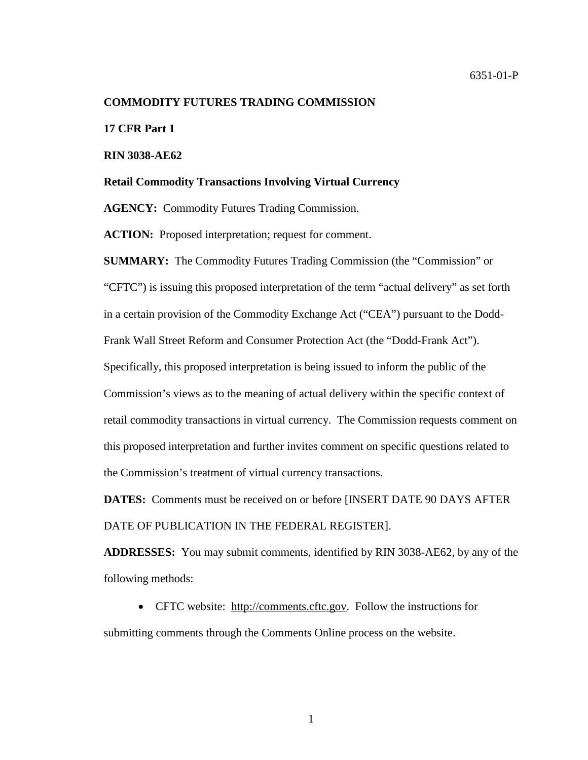#### **COMMODITY FUTURES TRADING COMMISSION**

**17 CFR Part 1**

**RIN 3038-AE62**

#### **Retail Commodity Transactions Involving Virtual Currency**

**AGENCY:** Commodity Futures Trading Commission.

ACTION: Proposed interpretation; request for comment.

**SUMMARY:** The Commodity Futures Trading Commission (the "Commission" or "CFTC") is issuing this proposed interpretation of the term "actual delivery" as set forth in a certain provision of the Commodity Exchange Act ("CEA") pursuant to the Dodd-Frank Wall Street Reform and Consumer Protection Act (the "Dodd-Frank Act"). Specifically, this proposed interpretation is being issued to inform the public of the Commission's views as to the meaning of actual delivery within the specific context of retail commodity transactions in virtual currency. The Commission requests comment on this proposed interpretation and further invites comment on specific questions related to the Commission's treatment of virtual currency transactions.

**DATES:** Comments must be received on or before [INSERT DATE 90 DAYS AFTER DATE OF PUBLICATION IN THE FEDERAL REGISTER].

**ADDRESSES:** You may submit comments, identified by RIN 3038-AE62, by any of the following methods:

• CFTC website: [http://comments.cftc.gov.](http://comments.cftc.gov/) Follow the instructions for submitting comments through the Comments Online process on the website.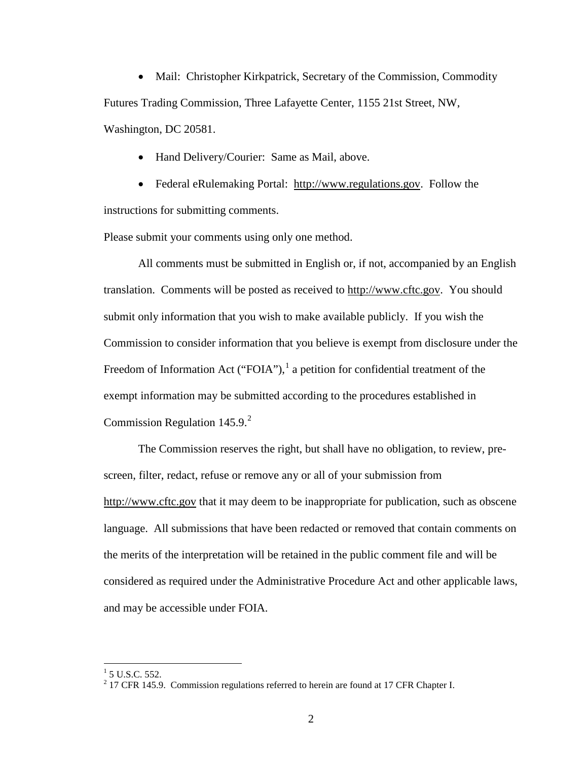• Mail: Christopher Kirkpatrick, Secretary of the Commission, Commodity Futures Trading Commission, Three Lafayette Center, 1155 21st Street, NW, Washington, DC 20581.

• Hand Delivery/Courier: Same as Mail, above.

• Federal eRulemaking Portal: [http://www.regulations.gov.](http://www.regulations.gov/) Follow the instructions for submitting comments.

Please submit your comments using only one method.

All comments must be submitted in English or, if not, accompanied by an English translation. Comments will be posted as received to [http://www.cftc.gov.](http://www.cftc.gov/) You should submit only information that you wish to make available publicly. If you wish the Commission to consider information that you believe is exempt from disclosure under the Freedom of Information Act ("FOIA"), $<sup>1</sup>$  $<sup>1</sup>$  $<sup>1</sup>$  a petition for confidential treatment of the</sup> exempt information may be submitted according to the procedures established in Commission Regulation 145.9. [2](#page-1-1)

The Commission reserves the right, but shall have no obligation, to review, prescreen, filter, redact, refuse or remove any or all of your submission from [http://www.cftc.gov](http://www.cftc.gov/) that it may deem to be inappropriate for publication, such as obscene language. All submissions that have been redacted or removed that contain comments on the merits of the interpretation will be retained in the public comment file and will be considered as required under the Administrative Procedure Act and other applicable laws, and may be accessible under FOIA.

<span id="page-1-0"></span> $1$  5 U.S.C. 552.

<span id="page-1-1"></span> $2$  17 CFR 145.9. Commission regulations referred to herein are found at 17 CFR Chapter I.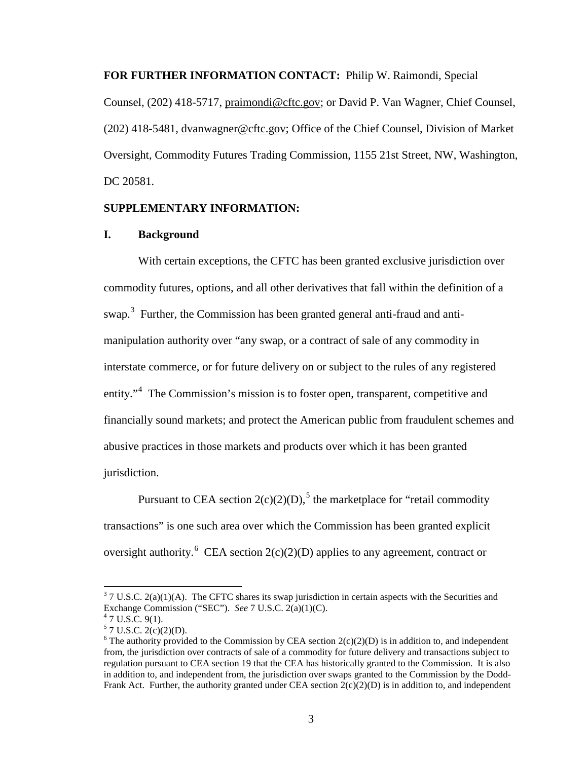**FOR FURTHER INFORMATION CONTACT:** Philip W. Raimondi, Special

Counsel, (202) 418-5717, [praimondi@cftc.gov;](mailto:praimondi@cftc.gov) or David P. Van Wagner, Chief Counsel, (202) 418-5481, [dvanwagner@cftc.gov;](mailto:dvanwagner@cftc.gov) Office of the Chief Counsel, Division of Market Oversight, Commodity Futures Trading Commission, 1155 21st Street, NW, Washington, DC 20581.

### **SUPPLEMENTARY INFORMATION:**

### **I. Background**

With certain exceptions, the CFTC has been granted exclusive jurisdiction over commodity futures, options, and all other derivatives that fall within the definition of a swap.<sup>[3](#page-2-0)</sup> Further, the Commission has been granted general anti-fraud and antimanipulation authority over "any swap, or a contract of sale of any commodity in interstate commerce, or for future delivery on or subject to the rules of any registered entity."<sup>[4](#page-2-1)</sup> The Commission's mission is to foster open, transparent, competitive and financially sound markets; and protect the American public from fraudulent schemes and abusive practices in those markets and products over which it has been granted jurisdiction.

Pursuant to CEA section  $2(c)(2)(D)$ ,<sup>[5](#page-2-2)</sup> the marketplace for "retail commodity" transactions" is one such area over which the Commission has been granted explicit oversight authority.<sup>[6](#page-2-3)</sup> CEA section  $2(c)(2)(D)$  applies to any agreement, contract or

<span id="page-2-0"></span> $3$  7 U.S.C. 2(a)(1)(A). The CFTC shares its swap jurisdiction in certain aspects with the Securities and Exchange Commission ("SEC"). *See* 7 U.S.C. 2(a)(1)(C). <sup>4</sup> 7 U.S.C. 9(1).

<span id="page-2-2"></span><span id="page-2-1"></span> $5$  7 U.S.C. 2(c)(2)(D).

<span id="page-2-3"></span><sup>&</sup>lt;sup>6</sup> The authority provided to the Commission by CEA section  $2(c)(2)(D)$  is in addition to, and independent from, the jurisdiction over contracts of sale of a commodity for future delivery and transactions subject to regulation pursuant to CEA section 19 that the CEA has historically granted to the Commission. It is also in addition to, and independent from, the jurisdiction over swaps granted to the Commission by the Dodd-Frank Act. Further, the authority granted under CEA section  $2(c)(2)(D)$  is in addition to, and independent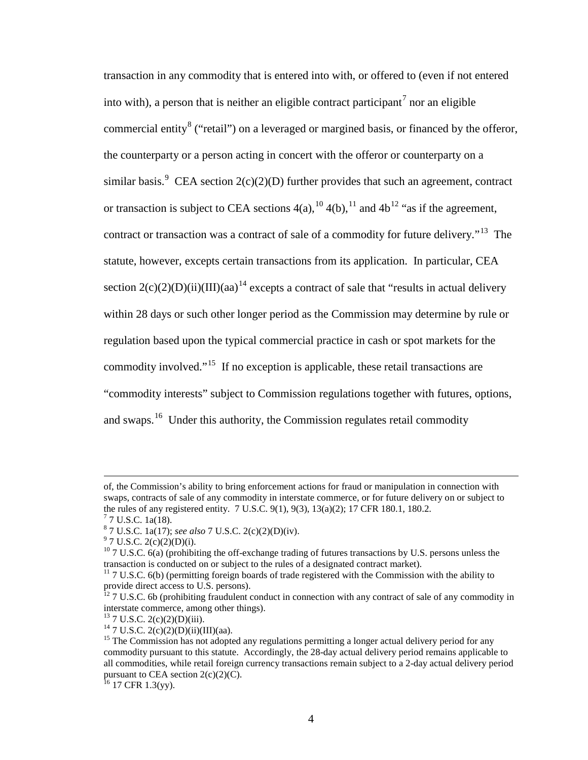transaction in any commodity that is entered into with, or offered to (even if not entered into with), a person that is neither an eligible contract participant<sup>[7](#page-3-0)</sup> nor an eligible commercial entity<sup>[8](#page-3-1)</sup> ("retail") on a leveraged or margined basis, or financed by the offeror, the counterparty or a person acting in concert with the offeror or counterparty on a similar basis.<sup>[9](#page-3-2)</sup> CEA section  $2(c)(2)(D)$  further provides that such an agreement, contract or transaction is subject to CEA sections  $4(a)$ ,  $^{10}$  $^{10}$  $^{10}$ ,  $4(b)$ ,  $^{11}$  $^{11}$  $^{11}$  and  $4b$ <sup>[12](#page-3-5)</sup> "as if the agreement, contract or transaction was a contract of sale of a commodity for future delivery."<sup>[13](#page-3-6)</sup> The statute, however, excepts certain transactions from its application. In particular, CEA section  $2(c)(2)(D)(ii)(III)(aa)^{14}$  $2(c)(2)(D)(ii)(III)(aa)^{14}$  $2(c)(2)(D)(ii)(III)(aa)^{14}$  excepts a contract of sale that "results in actual delivery within 28 days or such other longer period as the Commission may determine by rule or regulation based upon the typical commercial practice in cash or spot markets for the commodity involved."[15](#page-3-8) If no exception is applicable, these retail transactions are "commodity interests" subject to Commission regulations together with futures, options, and swaps.<sup>[16](#page-3-9)</sup> Under this authority, the Commission regulates retail commodity

l

of, the Commission's ability to bring enforcement actions for fraud or manipulation in connection with swaps, contracts of sale of any commodity in interstate commerce, or for future delivery on or subject to the rules of any registered entity. 7 U.S.C. 9(1), 9(3), 13(a)(2); 17 CFR 180.1, 180.2.  $^{7}$  7 U.S.C. 1a(18).

<span id="page-3-0"></span>

<span id="page-3-1"></span><sup>8</sup> 7 U.S.C. 1a(17); *see also* 7 U.S.C. 2(c)(2)(D)(iv). <sup>9</sup> 7 U.S.C. 2(c)(2)(D)(i).

<span id="page-3-3"></span><span id="page-3-2"></span><sup>&</sup>lt;sup>10</sup> 7 U.S.C. 6(a) (prohibiting the off-exchange trading of futures transactions by U.S. persons unless the transaction is conducted on or subject to the rules of a designated contract market).

<span id="page-3-4"></span> $11$  7 U.S.C. 6(b) (permitting foreign boards of trade registered with the Commission with the ability to

<span id="page-3-5"></span>provide direct access to U.S. persons).<br><sup>12</sup> 7 U.S.C. 6b (prohibiting fraudulent conduct in connection with any contract of sale of any commodity in interstate commerce, among other things).

<span id="page-3-8"></span>

<span id="page-3-7"></span><span id="page-3-6"></span><sup>&</sup>lt;sup>13</sup> 7 U.S.C. 2(c)(2)(D)(iii). <sup>14</sup> 7 U.S.C. 2(c)(2)(D)(iii). <sup>14</sup> 7 U.S.C. 2(c)(2)(D)(iii)(III)(aa). <sup>15</sup> The Commission has not adopted any regulations permitting a longer actual delivery period for any commodity pursuant to this statute. Accordingly, the 28-day actual delivery period remains applicable to all commodities, while retail foreign currency transactions remain subject to a 2-day actual delivery period pursuant to CEA section  $2(c)(2)(C)$ .

<span id="page-3-9"></span> $16$  17 CFR 1.3(yy).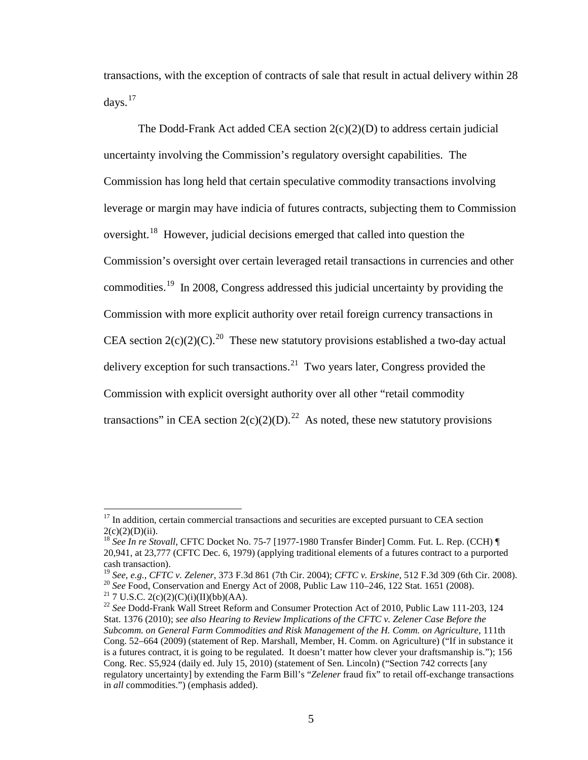transactions, with the exception of contracts of sale that result in actual delivery within 28 days. $17$ 

The Dodd-Frank Act added CEA section  $2(c)(2)(D)$  to address certain judicial uncertainty involving the Commission's regulatory oversight capabilities. The Commission has long held that certain speculative commodity transactions involving leverage or margin may have indicia of futures contracts, subjecting them to Commission oversight.<sup>[18](#page-4-1)</sup> However, judicial decisions emerged that called into question the Commission's oversight over certain leveraged retail transactions in currencies and other commodities.[19](#page-4-2) In 2008, Congress addressed this judicial uncertainty by providing the Commission with more explicit authority over retail foreign currency transactions in CEA section  $2(c)(2)(C)$ .<sup>20</sup> These new statutory provisions established a two-day actual delivery exception for such transactions.<sup>21</sup> Two years later, Congress provided the Commission with explicit oversight authority over all other "retail commodity transactions" in CEA section  $2(c)(2)(D)^{2}$ . As noted, these new statutory provisions

<span id="page-4-0"></span><sup>&</sup>lt;sup>17</sup> In addition, certain commercial transactions and securities are excepted pursuant to CEA section

<span id="page-4-1"></span><sup>2(</sup>c)(2)(D)(ii). <sup>18</sup> *See In re Stovall*, CFTC Docket No. 75-7 [1977-1980 Transfer Binder] Comm. Fut. L. Rep. (CCH) ¶ 20,941, at 23,777 (CFTC Dec. 6, 1979) (applying traditional elements of a futures contract to a purported

<span id="page-4-2"></span>cash transaction).<br>
<sup>19</sup> See, e.g., CFTC v. Zelener, 373 F.3d 861 (7th Cir. 2004); CFTC v. Erskine, 512 F.3d 309 (6th Cir. 2008).<br>
<sup>20</sup> See Food, Conservation and Energy Act of 2008, Public Law 110–246, 122 Stat. 1651 (20

<span id="page-4-3"></span>

<span id="page-4-5"></span><span id="page-4-4"></span>Stat. 1376 (2010); *see also Hearing to Review Implications of the CFTC v. Zelener Case Before the Subcomm. on General Farm Commodities and Risk Management of the H. Comm. on Agriculture*, 111th Cong. 52–664 (2009) (statement of Rep. Marshall, Member, H. Comm. on Agriculture) ("If in substance it is a futures contract, it is going to be regulated. It doesn't matter how clever your draftsmanship is."); 156 Cong. Rec. S5,924 (daily ed. July 15, 2010) (statement of Sen. Lincoln) ("Section 742 corrects [any regulatory uncertainty] by extending the Farm Bill's "*Zelener* fraud fix" to retail off-exchange transactions in *all* commodities.") (emphasis added).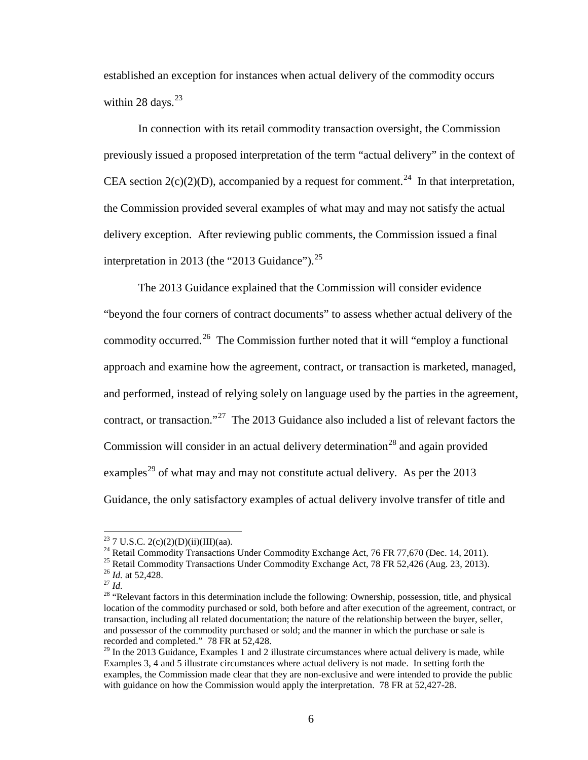established an exception for instances when actual delivery of the commodity occurs within 28 days. $23$ 

In connection with its retail commodity transaction oversight, the Commission previously issued a proposed interpretation of the term "actual delivery" in the context of CEA section  $2(c)(2)(D)$ , accompanied by a request for comment.<sup>24</sup> In that interpretation, the Commission provided several examples of what may and may not satisfy the actual delivery exception. After reviewing public comments, the Commission issued a final interpretation in 2013 (the "2013 Guidance").<sup>[25](#page-5-2)</sup>

The 2013 Guidance explained that the Commission will consider evidence "beyond the four corners of contract documents" to assess whether actual delivery of the commodity occurred.<sup>[26](#page-5-3)</sup> The Commission further noted that it will "employ a functional" approach and examine how the agreement, contract, or transaction is marketed, managed, and performed, instead of relying solely on language used by the parties in the agreement, contract, or transaction."<sup>[27](#page-5-4)</sup> The 2013 Guidance also included a list of relevant factors the Commission will consider in an actual delivery determination<sup>[28](#page-5-5)</sup> and again provided examples<sup>[29](#page-5-6)</sup> of what may and may not constitute actual delivery. As per the 2013 Guidance, the only satisfactory examples of actual delivery involve transfer of title and

<span id="page-5-2"></span>

<span id="page-5-3"></span>

<span id="page-5-5"></span><span id="page-5-4"></span>

<span id="page-5-1"></span><span id="page-5-0"></span><sup>&</sup>lt;sup>23</sup> 7 U.S.C. 2(c)(2)(D)(ii)(III)(aa).<br><sup>24</sup> Retail Commodity Transactions Under Commodity Exchange Act, 76 FR 77,670 (Dec. 14, 2011).<br><sup>25</sup> Retail Commodity Transactions Under Commodity Exchange Act, 78 FR 52,426 (Aug. 23, location of the commodity purchased or sold, both before and after execution of the agreement, contract, or transaction, including all related documentation; the nature of the relationship between the buyer, seller, and possessor of the commodity purchased or sold; and the manner in which the purchase or sale is recorded and completed." 78 FR at 52,428.

<span id="page-5-6"></span> $^{29}$  In the 2013 Guidance, Examples 1 and 2 illustrate circumstances where actual delivery is made, while Examples 3, 4 and 5 illustrate circumstances where actual delivery is not made. In setting forth the examples, the Commission made clear that they are non-exclusive and were intended to provide the public with guidance on how the Commission would apply the interpretation. 78 FR at 52,427-28.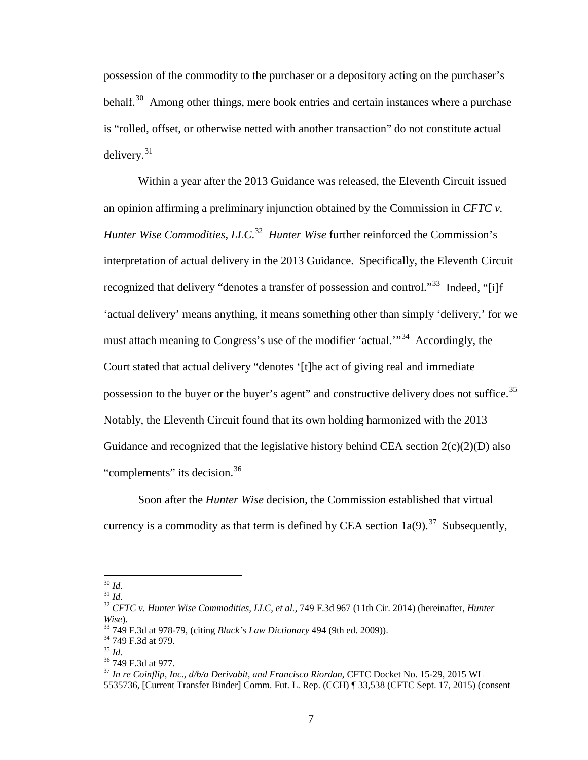possession of the commodity to the purchaser or a depository acting on the purchaser's behalf.<sup>30</sup> Among other things, mere book entries and certain instances where a purchase is "rolled, offset, or otherwise netted with another transaction" do not constitute actual delivery. $31$ 

Within a year after the 2013 Guidance was released, the Eleventh Circuit issued an opinion affirming a preliminary injunction obtained by the Commission in *CFTC v. Hunter Wise Commodities, LLC*. [32](#page-6-2) *Hunter Wise* further reinforced the Commission's interpretation of actual delivery in the 2013 Guidance. Specifically, the Eleventh Circuit recognized that delivery "denotes a transfer of possession and control."<sup>33</sup> Indeed, "[i]f 'actual delivery' means anything, it means something other than simply 'delivery,' for we must attach meaning to Congress's use of the modifier 'actual.'"[34](#page-6-4) Accordingly, the Court stated that actual delivery "denotes '[t]he act of giving real and immediate possession to the buyer or the buyer's agent" and constructive delivery does not suffice.<sup>35</sup> Notably, the Eleventh Circuit found that its own holding harmonized with the 2013 Guidance and recognized that the legislative history behind CEA section  $2(c)(2)(D)$  also "complements" its decision.<sup>[36](#page-6-6)</sup>

Soon after the *Hunter Wise* decision, the Commission established that virtual currency is a commodity as that term is defined by CEA section  $1a(9)$ .<sup>37</sup> Subsequently,

<span id="page-6-2"></span>

<span id="page-6-1"></span><span id="page-6-0"></span><sup>30</sup> *Id.* <sup>31</sup> *Id.* <sup>32</sup> *CFTC v. Hunter Wise Commodities, LLC, et al.*, 749 F.3d 967 (11th Cir. 2014) (hereinafter, *Hunter*  Wise).<br><sup>33</sup> 749 F.3d at 978-79, (citing *Black's Law Dictionary* 494 (9th ed. 2009)).<br><sup>34</sup> 749 F.3d at 979.<br><sup>35</sup> *Id.*<br><sup>36</sup> 749 F.3d at 977.<br><sup>37</sup> *In re Coinflip, Inc., d/b/a Derivabit, and Francisco Riordan, CFTC Docket N* 

<span id="page-6-4"></span><span id="page-6-3"></span>

<span id="page-6-6"></span><span id="page-6-5"></span>

<span id="page-6-7"></span><sup>5535736, [</sup>Current Transfer Binder] Comm. Fut. L. Rep. (CCH) ¶ 33,538 (CFTC Sept. 17, 2015) (consent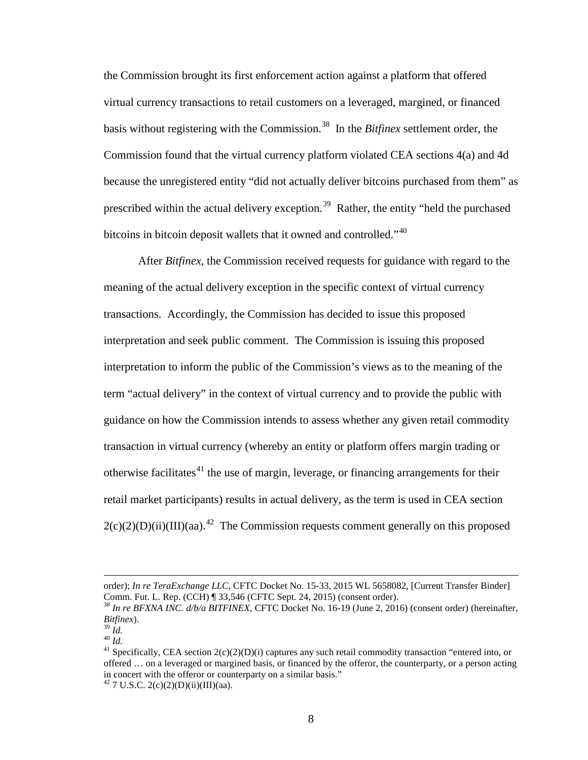the Commission brought its first enforcement action against a platform that offered virtual currency transactions to retail customers on a leveraged, margined, or financed basis without registering with the Commission.<sup>[38](#page-7-0)</sup> In the *Bitfinex* settlement order, the Commission found that the virtual currency platform violated CEA sections 4(a) and 4d because the unregistered entity "did not actually deliver bitcoins purchased from them" as prescribed within the actual delivery exception.<sup>39</sup> Rather, the entity "held the purchased bitcoins in bitcoin deposit wallets that it owned and controlled."<sup>[40](#page-7-2)</sup>

After *Bitfinex*, the Commission received requests for guidance with regard to the meaning of the actual delivery exception in the specific context of virtual currency transactions. Accordingly, the Commission has decided to issue this proposed interpretation and seek public comment. The Commission is issuing this proposed interpretation to inform the public of the Commission's views as to the meaning of the term "actual delivery" in the context of virtual currency and to provide the public with guidance on how the Commission intends to assess whether any given retail commodity transaction in virtual currency (whereby an entity or platform offers margin trading or otherwise facilitates<sup>[41](#page-7-3)</sup> the use of margin, leverage, or financing arrangements for their retail market participants) results in actual delivery, as the term is used in CEA section  $2(c)(2)(D)(ii)(III)(aa).<sup>42</sup>$  $2(c)(2)(D)(ii)(III)(aa).<sup>42</sup>$  $2(c)(2)(D)(ii)(III)(aa).<sup>42</sup>$  The Commission requests comment generally on this proposed

l

order); *In re TeraExchange LLC*, CFTC Docket No. 15-33, 2015 WL 5658082, [Current Transfer Binder]<br>Comm. Fut. L. Rep. (CCH) ¶ 33,546 (CFTC Sept. 24, 2015) (consent order).

<span id="page-7-0"></span><sup>&</sup>lt;sup>38</sup> In re BFXNA INC.  $d/b/a$  BITFINEX, CFTC Docket No. 16-19 (June 2, 2016) (consent order) (hereinafter, Bitfinex).

<span id="page-7-2"></span><span id="page-7-1"></span>

<span id="page-7-3"></span>

<sup>&</sup>lt;sup>39 *Id.* 40 *Id.*<br><sup>40</sup> *Id.* 41 Specifically, CEA section 2(c)(2)(D)(i) captures any such retail commodity transaction "entered into, or</sup> offered … on a leveraged or margined basis, or financed by the offeror, the counterparty, or a person acting in concert with the offeror or counterparty on a similar basis."<br> $^{42}$  7 U.S.C. 2(c)(2)(D)(ii)(III)(aa).

<span id="page-7-4"></span>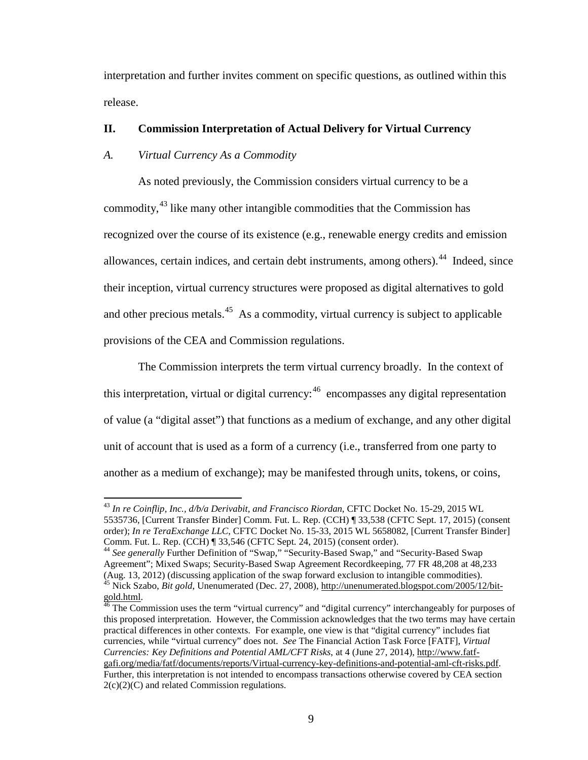interpretation and further invites comment on specific questions, as outlined within this release.

# **II. Commission Interpretation of Actual Delivery for Virtual Currency**

# *A. Virtual Currency As a Commodity*

As noted previously, the Commission considers virtual currency to be a commodity,<sup>[43](#page-8-0)</sup> like many other intangible commodities that the Commission has recognized over the course of its existence (e.g., renewable energy credits and emission allowances, certain indices, and certain debt instruments, among others).<sup>[44](#page-8-1)</sup> Indeed, since their inception, virtual currency structures were proposed as digital alternatives to gold and other precious metals.<sup>45</sup> As a commodity, virtual currency is subject to applicable provisions of the CEA and Commission regulations.

The Commission interprets the term virtual currency broadly. In the context of this interpretation, virtual or digital currency:<sup>[46](#page-8-3)</sup> encompasses any digital representation of value (a "digital asset") that functions as a medium of exchange, and any other digital unit of account that is used as a form of a currency (i.e., transferred from one party to another as a medium of exchange); may be manifested through units, tokens, or coins,

<span id="page-8-0"></span><sup>43</sup> *In re Coinflip, Inc., d/b/a Derivabit, and Francisco Riordan*, CFTC Docket No. 15-29, 2015 WL 5535736, [Current Transfer Binder] Comm. Fut. L. Rep. (CCH) ¶ 33,538 (CFTC Sept. 17, 2015) (consent order); *In re TeraExchange LLC*, CFTC Docket No. 15-33, 2015 WL 5658082, [Current Transfer Binder]<br>Comm. Fut. L. Rep. (CCH) ¶ 33.546 (CFTC Sept. 24, 2015) (consent order).

<span id="page-8-1"></span><sup>&</sup>lt;sup>44</sup> See generally Further Definition of "Swap," "Security-Based Swap," and "Security-Based Swap Agreement"; Mixed Swaps; Security-Based Swap Agreement Recordkeeping, 77 FR 48,208 at 48,233 (Aug. 13, 2012) (discussing application of the swap forward exclusion to intangible commodities). <sup>45</sup> Nick Szabo, *Bit gold*, Unenumerated (Dec. 27, 2008)[, http://unenumerated.blogspot.com/2005/12/bit-](http://unenumerated.blogspot.com/2005/12/bit-gold.html)

<span id="page-8-3"></span><span id="page-8-2"></span>[gold.html.](http://unenumerated.blogspot.com/2005/12/bit-gold.html)<br><sup>46</sup> The Commission uses the term "virtual currency" and "digital currency" interchangeably for purposes of this proposed interpretation. However, the Commission acknowledges that the two terms may have certain practical differences in other contexts. For example, one view is that "digital currency" includes fiat currencies, while "virtual currency" does not. *See* The Financial Action Task Force [FATF], *Virtual Currencies: Key Definitions and Potential AML/CFT Risks*, at 4 (June 27, 2014), [http://www.fatf](http://www.fatf-gafi.org/media/fatf/documents/reports/Virtual-currency-key-definitions-and-potential-aml-cft-risks.pdf)[gafi.org/media/fatf/documents/reports/Virtual-currency-key-definitions-and-potential-aml-cft-risks.pdf.](http://www.fatf-gafi.org/media/fatf/documents/reports/Virtual-currency-key-definitions-and-potential-aml-cft-risks.pdf)  Further, this interpretation is not intended to encompass transactions otherwise covered by CEA section 2(c)(2)(C) and related Commission regulations.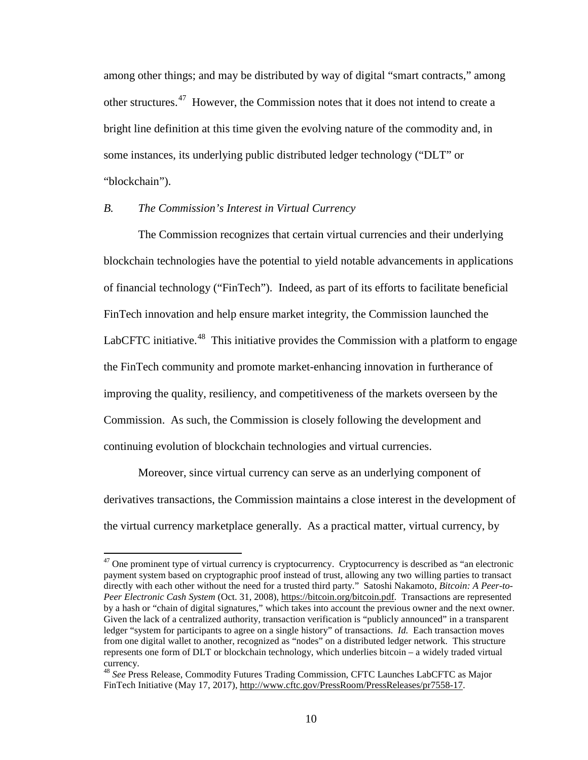among other things; and may be distributed by way of digital "smart contracts," among other structures.<sup>[47](#page-9-0)</sup> However, the Commission notes that it does not intend to create a bright line definition at this time given the evolving nature of the commodity and, in some instances, its underlying public distributed ledger technology ("DLT" or "blockchain").

# *B. The Commission's Interest in Virtual Currency*

The Commission recognizes that certain virtual currencies and their underlying blockchain technologies have the potential to yield notable advancements in applications of financial technology ("FinTech"). Indeed, as part of its efforts to facilitate beneficial FinTech innovation and help ensure market integrity, the Commission launched the LabCFTC initiative.<sup>48</sup> This initiative provides the Commission with a platform to engage the FinTech community and promote market-enhancing innovation in furtherance of improving the quality, resiliency, and competitiveness of the markets overseen by the Commission. As such, the Commission is closely following the development and continuing evolution of blockchain technologies and virtual currencies.

Moreover, since virtual currency can serve as an underlying component of derivatives transactions, the Commission maintains a close interest in the development of the virtual currency marketplace generally. As a practical matter, virtual currency, by

<span id="page-9-0"></span> $47$  One prominent type of virtual currency is cryptocurrency. Cryptocurrency is described as "an electronic payment system based on cryptographic proof instead of trust, allowing any two willing parties to transact directly with each other without the need for a trusted third party." Satoshi Nakamoto, *Bitcoin: A Peer-to-Peer Electronic Cash System* (Oct. 31, 2008), [https://bitcoin.org/bitcoin.pdf.](https://bitcoin.org/bitcoin.pdf) Transactions are represented by a hash or "chain of digital signatures," which takes into account the previous owner and the next owner. Given the lack of a centralized authority, transaction verification is "publicly announced" in a transparent ledger "system for participants to agree on a single history" of transactions. *Id.* Each transaction moves from one digital wallet to another, recognized as "nodes" on a distributed ledger network. This structure represents one form of DLT or blockchain technology, which underlies bitcoin – a widely traded virtual currency.

<span id="page-9-1"></span><sup>48</sup> *See* Press Release, Commodity Futures Trading Commission, CFTC Launches LabCFTC as Major FinTech Initiative (May 17, 2017), [http://www.cftc.gov/PressRoom/PressReleases/pr7558-17.](http://www.cftc.gov/PressRoom/PressReleases/pr7558-17)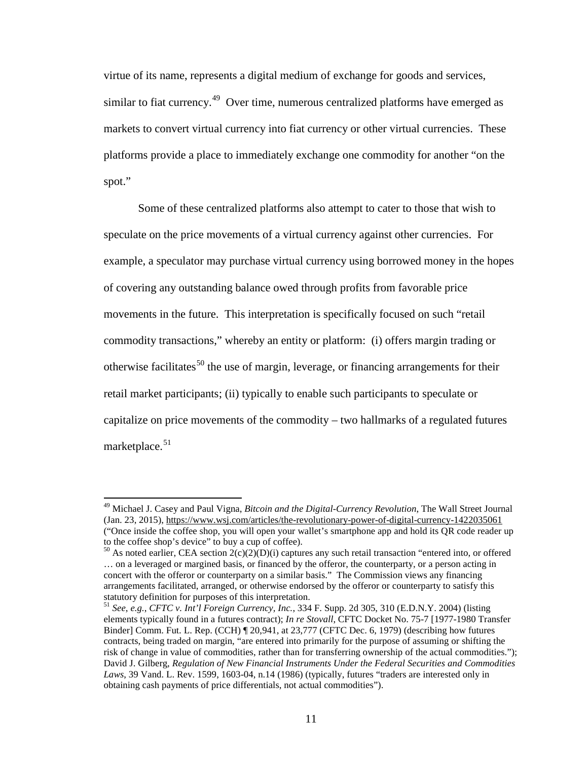virtue of its name, represents a digital medium of exchange for goods and services, similar to fiat currency.<sup>[49](#page-10-0)</sup> Over time, numerous centralized platforms have emerged as markets to convert virtual currency into fiat currency or other virtual currencies. These platforms provide a place to immediately exchange one commodity for another "on the spot."

Some of these centralized platforms also attempt to cater to those that wish to speculate on the price movements of a virtual currency against other currencies. For example, a speculator may purchase virtual currency using borrowed money in the hopes of covering any outstanding balance owed through profits from favorable price movements in the future. This interpretation is specifically focused on such "retail commodity transactions," whereby an entity or platform: (i) offers margin trading or otherwise facilitates<sup>[50](#page-10-1)</sup> the use of margin, leverage, or financing arrangements for their retail market participants; (ii) typically to enable such participants to speculate or capitalize on price movements of the commodity – two hallmarks of a regulated futures marketplace.<sup>[51](#page-10-2)</sup>

<span id="page-10-0"></span><sup>49</sup> Michael J. Casey and Paul Vigna, *Bitcoin and the Digital-Currency Revolution*, The Wall Street Journal (Jan. 23, 2015),<https://www.wsj.com/articles/the-revolutionary-power-of-digital-currency-1422035061> ("Once inside the coffee shop, you will open your wallet's smartphone app and hold its QR code reader up to the coffee shop's device" to buy a cup of coffee).

<span id="page-10-1"></span><sup>&</sup>lt;sup>50</sup> As noted earlier, CEA section  $2(c)(2)(D)(i)$  captures any such retail transaction "entered into, or offered … on a leveraged or margined basis, or financed by the offeror, the counterparty, or a person acting in concert with the offeror or counterparty on a similar basis." The Commission views any financing arrangements facilitated, arranged, or otherwise endorsed by the offeror or counterparty to satisfy this statutory definition for purposes of this interpretation. <sup>51</sup> *See*, *e.g.*, *CFTC v. Int'l Foreign Currency, Inc.*, 334 F. Supp. 2d 305, 310 (E.D.N.Y. 2004) (listing

<span id="page-10-2"></span>elements typically found in a futures contract); *In re Stovall*, CFTC Docket No. 75-7 [1977-1980 Transfer Binder] Comm. Fut. L. Rep. (CCH) ¶ 20,941, at 23,777 (CFTC Dec. 6, 1979) (describing how futures contracts, being traded on margin, "are entered into primarily for the purpose of assuming or shifting the risk of change in value of commodities, rather than for transferring ownership of the actual commodities."); David J. Gilberg, *Regulation of New Financial Instruments Under the Federal Securities and Commodities Laws*, 39 Vand. L. Rev. 1599, 1603-04, n.14 (1986) (typically, futures "traders are interested only in obtaining cash payments of price differentials, not actual commodities").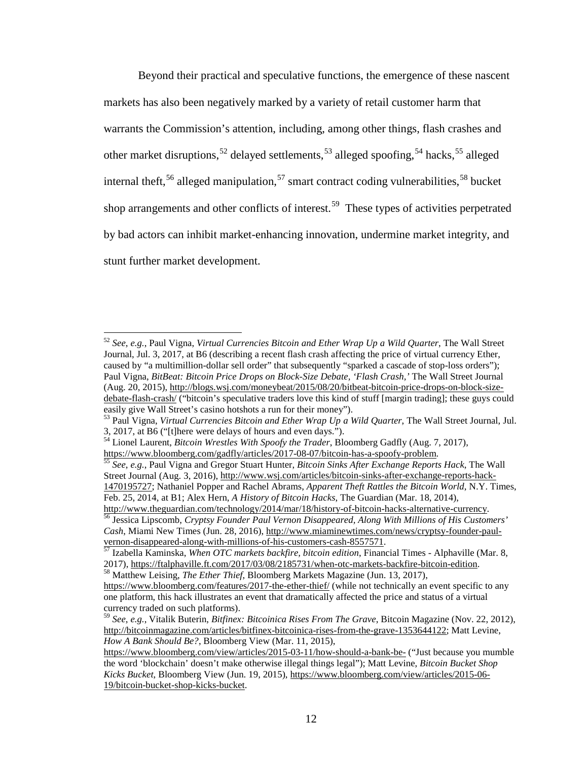Beyond their practical and speculative functions, the emergence of these nascent markets has also been negatively marked by a variety of retail customer harm that warrants the Commission's attention, including, among other things, flash crashes and other market disruptions,<sup>[52](#page-11-0)</sup> delayed settlements,<sup>[53](#page-11-1)</sup> alleged spoofing,<sup>[54](#page-11-2)</sup> hacks,<sup>[55](#page-11-3)</sup> alleged internal theft,  $56$  alleged manipulation,  $57$  smart contract coding vulnerabilities,  $58$  bucket shop arrangements and other conflicts of interest.<sup>59</sup> These types of activities perpetrated by bad actors can inhibit market-enhancing innovation, undermine market integrity, and stunt further market development.

<span id="page-11-0"></span><sup>52</sup> *See*, *e.g.*, Paul Vigna, *Virtual Currencies Bitcoin and Ether Wrap Up a Wild Quarter*, The Wall Street Journal, Jul. 3, 2017, at B6 (describing a recent flash crash affecting the price of virtual currency Ether, caused by "a multimillion-dollar sell order" that subsequently "sparked a cascade of stop-loss orders"); Paul Vigna, *BitBeat: Bitcoin Price Drops on Block-Size Debate, 'Flash Crash,'* The Wall Street Journal (Aug. 20, 2015), [http://blogs.wsj.com/moneybeat/2015/08/20/bitbeat-bitcoin-price-drops-on-block-size](http://blogs.wsj.com/moneybeat/2015/08/20/bitbeat-bitcoin-price-drops-on-block-size-debate-flash-crash/)[debate-flash-crash/](http://blogs.wsj.com/moneybeat/2015/08/20/bitbeat-bitcoin-price-drops-on-block-size-debate-flash-crash/) ("bitcoin's speculative traders love this kind of stuff [margin trading]; these guys could easily give Wall Street's casino hotshots a run for their money").

<span id="page-11-1"></span><sup>&</sup>lt;sup>53</sup> Paul Vigna, *Virtual Currencies Bitcoin and Ether Wrap Up a Wild Quarter*, The Wall Street Journal, Jul. 3, 2017, at B6 ("[t]here were delays of hours and even days.").

<span id="page-11-2"></span><sup>54</sup> Lionel Laurent, *Bitcoin Wrestles With Spoofy the Trader*, Bloomberg Gadfly (Aug. 7, 2017),

<span id="page-11-3"></span>[https://www.bloomberg.com/gadfly/articles/2017-08-07/bitcoin-has-a-spoofy-problem.](https://www.bloomberg.com/gadfly/articles/2017-08-07/bitcoin-has-a-spoofy-problem) <sup>55</sup> *See*, *e.g.*, Paul Vigna and Gregor Stuart Hunter, *Bitcoin Sinks After Exchange Reports Hack*, The Wall Street Journal (Aug. 3, 2016)[, http://www.wsj.com/articles/bitcoin-sinks-after-exchange-reports-hack-](http://www.wsj.com/articles/bitcoin-sinks-after-exchange-reports-hack-1470195727)[1470195727;](http://www.wsj.com/articles/bitcoin-sinks-after-exchange-reports-hack-1470195727) Nathaniel Popper and Rachel Abrams, *Apparent Theft Rattles the Bitcoin World*, N.Y. Times, Feb. 25, 2014, at B1; Alex Hern, *A History of Bitcoin Hacks*, The Guardian (Mar. 18, 2014),<br>http://www.theguardian.com/technology/2014/mar/18/history-of-bitcoin-hacks-alternative-currency.

<span id="page-11-4"></span><sup>&</sup>lt;sup>56</sup> Jessica Lipscomb, Cryptsy Founder Paul Vernon Disappeared, Along With Millions of His Customers' *Cash*, Miami New Times (Jun. 28, 2016), [http://www.miaminewtimes.com/news/cryptsy-founder-paul](http://www.miaminewtimes.com/news/cryptsy-founder-paul-vernon-disappeared-along-with-millions-of-his-customers-cash-8557571)[vernon-disappeared-along-with-millions-of-his-customers-cash-8557571.](http://www.miaminewtimes.com/news/cryptsy-founder-paul-vernon-disappeared-along-with-millions-of-his-customers-cash-8557571) <sup>57</sup> Izabella Kaminska, *When OTC markets backfire, bitcoin edition*, Financial Times - Alphaville (Mar. 8,

<span id="page-11-5"></span><sup>2017),</sup> [https://ftalphaville.ft.com/2017/03/08/2185731/when-otc-markets-backfire-bitcoin-edition.](https://ftalphaville.ft.com/2017/03/08/2185731/when-otc-markets-backfire-bitcoin-edition) <sup>58</sup> Matthew Leising, *The Ether Thief*, Bloomberg Markets Magazine (Jun. 13, 2017),

<span id="page-11-6"></span><https://www.bloomberg.com/features/2017-the-ether-thief/> (while not technically an event specific to any one platform, this hack illustrates an event that dramatically affected the price and status of a virtual

<span id="page-11-7"></span><sup>&</sup>lt;sup>59</sup> *See*, *e.g.*, Vitalik Buterin, *Bitfinex: Bitcoinica Rises From The Grave*, Bitcoin Magazine (Nov. 22, 2012), [http://bitcoinmagazine.com/articles/bitfinex-bitcoinica-rises-from-the-grave-1353644122;](http://bitcoinmagazine.com/articles/bitfinex-bitcoinica-rises-from-the-grave-1353644122) Matt Levine, *How A Bank Should Be?*, Bloomberg View (Mar. 11, 2015),

<https://www.bloomberg.com/view/articles/2015-03-11/how-should-a-bank-be-> ("Just because you mumble the word 'blockchain' doesn't make otherwise illegal things legal"); Matt Levine, *Bitcoin Bucket Shop Kicks Bucket*, Bloomberg View (Jun. 19, 2015), [https://www.bloomberg.com/view/articles/2015-06-](https://www.bloomberg.com/view/articles/2015-06-19/bitcoin-bucket-shop-kicks-bucket) [19/bitcoin-bucket-shop-kicks-bucket.](https://www.bloomberg.com/view/articles/2015-06-19/bitcoin-bucket-shop-kicks-bucket)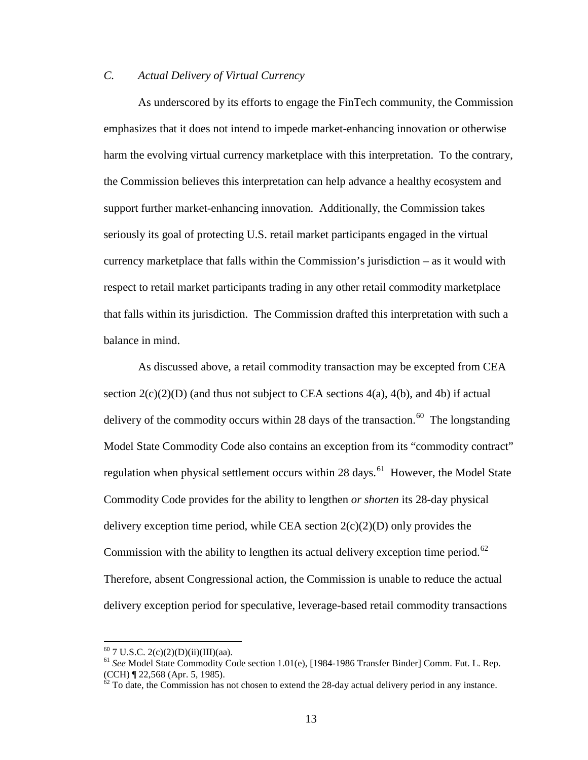# *C. Actual Delivery of Virtual Currency*

As underscored by its efforts to engage the FinTech community, the Commission emphasizes that it does not intend to impede market-enhancing innovation or otherwise harm the evolving virtual currency marketplace with this interpretation. To the contrary, the Commission believes this interpretation can help advance a healthy ecosystem and support further market-enhancing innovation. Additionally, the Commission takes seriously its goal of protecting U.S. retail market participants engaged in the virtual currency marketplace that falls within the Commission's jurisdiction – as it would with respect to retail market participants trading in any other retail commodity marketplace that falls within its jurisdiction. The Commission drafted this interpretation with such a balance in mind.

As discussed above, a retail commodity transaction may be excepted from CEA section  $2(c)(2)(D)$  (and thus not subject to CEA sections 4(a), 4(b), and 4b) if actual delivery of the commodity occurs within 28 days of the transaction.<sup>60</sup> The longstanding Model State Commodity Code also contains an exception from its "commodity contract" regulation when physical settlement occurs within 28 days.<sup>61</sup> However, the Model State Commodity Code provides for the ability to lengthen *or shorten* its 28-day physical delivery exception time period, while CEA section  $2(c)(2)(D)$  only provides the Commission with the ability to lengthen its actual delivery exception time period.<sup>62</sup> Therefore, absent Congressional action, the Commission is unable to reduce the actual delivery exception period for speculative, leverage-based retail commodity transactions

<span id="page-12-1"></span><span id="page-12-0"></span><sup>&</sup>lt;sup>60</sup> 7 U.S.C. 2(c)(2)(D)(ii)(III)(aa).<br><sup>61</sup> *See* Model State Commodity Code section 1.01(e), [1984-1986 Transfer Binder] Comm. Fut. L. Rep. (CCH) ¶ 22.568 (Apr. 5, 1985).

<span id="page-12-2"></span> $\frac{\partial^2}{\partial x^2}$  To date, the Commission has not chosen to extend the 28-day actual delivery period in any instance.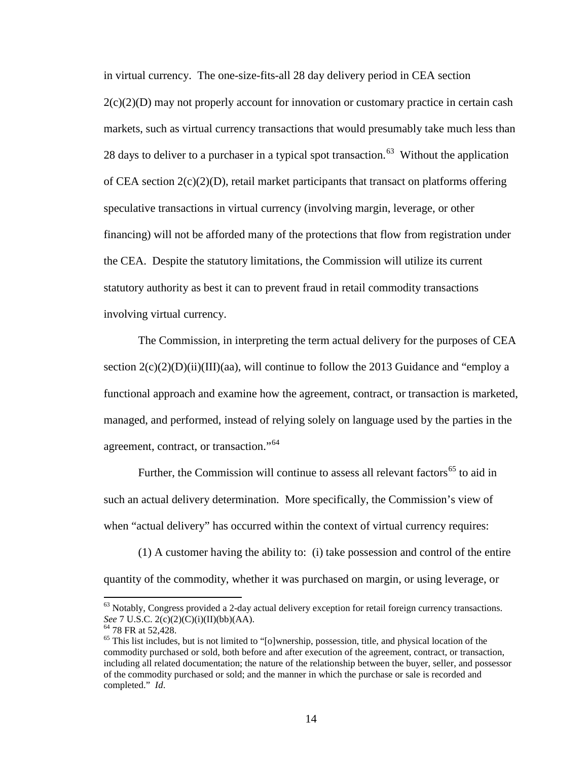in virtual currency. The one-size-fits-all 28 day delivery period in CEA section  $2(c)(2)(D)$  may not properly account for innovation or customary practice in certain cash markets, such as virtual currency transactions that would presumably take much less than 28 days to deliver to a purchaser in a typical spot transaction.<sup>63</sup> Without the application of CEA section  $2(c)(2)(D)$ , retail market participants that transact on platforms offering speculative transactions in virtual currency (involving margin, leverage, or other financing) will not be afforded many of the protections that flow from registration under the CEA. Despite the statutory limitations, the Commission will utilize its current statutory authority as best it can to prevent fraud in retail commodity transactions involving virtual currency.

The Commission, in interpreting the term actual delivery for the purposes of CEA section  $2(c)(2)(D)(ii)(III)(aa)$ , will continue to follow the 2013 Guidance and "employ a functional approach and examine how the agreement, contract, or transaction is marketed, managed, and performed, instead of relying solely on language used by the parties in the agreement, contract, or transaction."<sup>[64](#page-13-1)</sup>

Further, the Commission will continue to assess all relevant factors<sup>[65](#page-13-2)</sup> to aid in such an actual delivery determination. More specifically, the Commission's view of when "actual delivery" has occurred within the context of virtual currency requires:

(1) A customer having the ability to: (i) take possession and control of the entire quantity of the commodity, whether it was purchased on margin, or using leverage, or

<span id="page-13-0"></span><sup>&</sup>lt;sup>63</sup> Notably, Congress provided a 2-day actual delivery exception for retail foreign currency transactions.<br>See 7 U.S.C.  $2(c)(2)(C)(i)(II)(bb)(AA)$ .

<span id="page-13-2"></span><span id="page-13-1"></span><sup>&</sup>lt;sup>64</sup> 78 FR at 52,428.<br><sup>65</sup> This list includes, but is not limited to "[o]wnership, possession, title, and physical location of the commodity purchased or sold, both before and after execution of the agreement, contract, or transaction, including all related documentation; the nature of the relationship between the buyer, seller, and possessor of the commodity purchased or sold; and the manner in which the purchase or sale is recorded and completed." *Id*.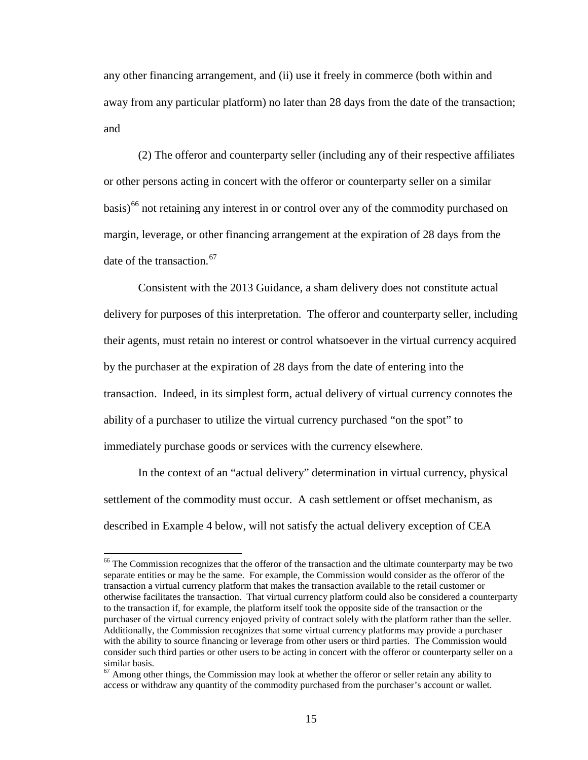any other financing arrangement, and (ii) use it freely in commerce (both within and away from any particular platform) no later than 28 days from the date of the transaction; and

(2) The offeror and counterparty seller (including any of their respective affiliates or other persons acting in concert with the offeror or counterparty seller on a similar basis)<sup>[66](#page-14-0)</sup> not retaining any interest in or control over any of the commodity purchased on margin, leverage, or other financing arrangement at the expiration of 28 days from the date of the transaction.<sup>[67](#page-14-1)</sup>

Consistent with the 2013 Guidance, a sham delivery does not constitute actual delivery for purposes of this interpretation. The offeror and counterparty seller, including their agents, must retain no interest or control whatsoever in the virtual currency acquired by the purchaser at the expiration of 28 days from the date of entering into the transaction. Indeed, in its simplest form, actual delivery of virtual currency connotes the ability of a purchaser to utilize the virtual currency purchased "on the spot" to immediately purchase goods or services with the currency elsewhere.

In the context of an "actual delivery" determination in virtual currency, physical settlement of the commodity must occur. A cash settlement or offset mechanism, as described in Example 4 below, will not satisfy the actual delivery exception of CEA

<span id="page-14-0"></span><sup>&</sup>lt;sup>66</sup> The Commission recognizes that the offeror of the transaction and the ultimate counterparty may be two separate entities or may be the same. For example, the Commission would consider as the offeror of the transaction a virtual currency platform that makes the transaction available to the retail customer or otherwise facilitates the transaction. That virtual currency platform could also be considered a counterparty to the transaction if, for example, the platform itself took the opposite side of the transaction or the purchaser of the virtual currency enjoyed privity of contract solely with the platform rather than the seller. Additionally, the Commission recognizes that some virtual currency platforms may provide a purchaser with the ability to source financing or leverage from other users or third parties. The Commission would consider such third parties or other users to be acting in concert with the offeror or counterparty seller on a similar basis.<br> $67$  Among other things, the Commission may look at whether the offeror or seller retain any ability to

<span id="page-14-1"></span>access or withdraw any quantity of the commodity purchased from the purchaser's account or wallet.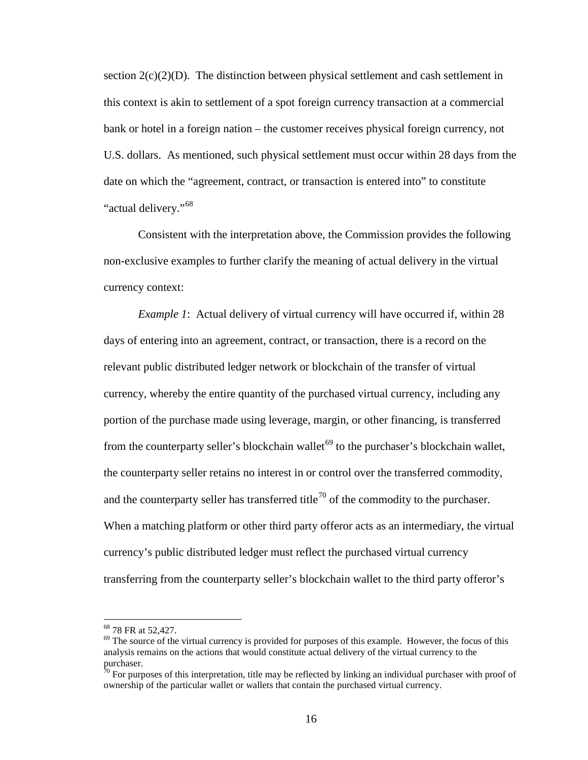section  $2(c)(2)(D)$ . The distinction between physical settlement and cash settlement in this context is akin to settlement of a spot foreign currency transaction at a commercial bank or hotel in a foreign nation – the customer receives physical foreign currency, not U.S. dollars. As mentioned, such physical settlement must occur within 28 days from the date on which the "agreement, contract, or transaction is entered into" to constitute "actual delivery."<sup>[68](#page-15-0)</sup>

Consistent with the interpretation above, the Commission provides the following non-exclusive examples to further clarify the meaning of actual delivery in the virtual currency context:

*Example 1*: Actual delivery of virtual currency will have occurred if, within 28 days of entering into an agreement, contract, or transaction, there is a record on the relevant public distributed ledger network or blockchain of the transfer of virtual currency, whereby the entire quantity of the purchased virtual currency, including any portion of the purchase made using leverage, margin, or other financing, is transferred from the counterparty seller's blockchain wallet<sup>[69](#page-15-1)</sup> to the purchaser's blockchain wallet, the counterparty seller retains no interest in or control over the transferred commodity, and the counterparty seller has transferred title<sup>[70](#page-15-2)</sup> of the commodity to the purchaser. When a matching platform or other third party offeror acts as an intermediary, the virtual currency's public distributed ledger must reflect the purchased virtual currency transferring from the counterparty seller's blockchain wallet to the third party offeror's

<span id="page-15-1"></span><span id="page-15-0"></span> $^{68}$  78 FR at 52,427.<br><sup>69</sup> The source of the virtual currency is provided for purposes of this example. However, the focus of this analysis remains on the actions that would constitute actual delivery of the virtual currency to the purchaser.

<span id="page-15-2"></span> $70$  For purposes of this interpretation, title may be reflected by linking an individual purchaser with proof of ownership of the particular wallet or wallets that contain the purchased virtual currency.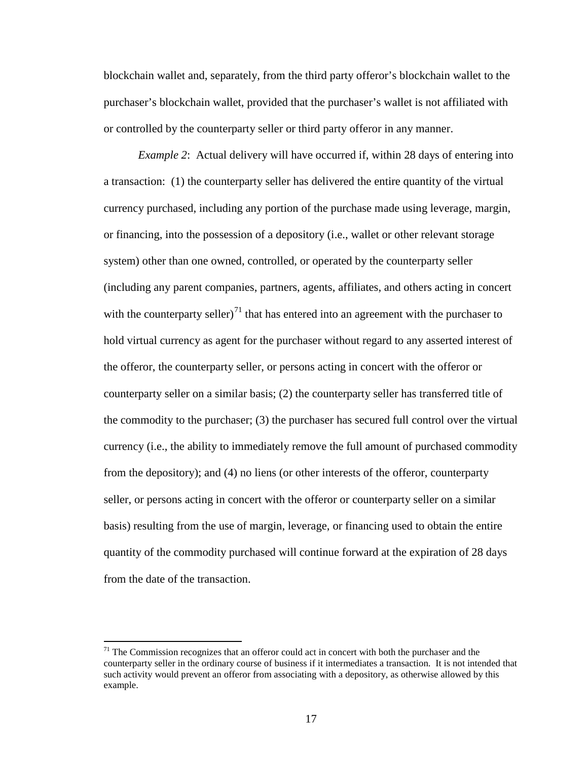blockchain wallet and, separately, from the third party offeror's blockchain wallet to the purchaser's blockchain wallet, provided that the purchaser's wallet is not affiliated with or controlled by the counterparty seller or third party offeror in any manner.

*Example 2*: Actual delivery will have occurred if, within 28 days of entering into a transaction: (1) the counterparty seller has delivered the entire quantity of the virtual currency purchased, including any portion of the purchase made using leverage, margin, or financing, into the possession of a depository (i.e., wallet or other relevant storage system) other than one owned, controlled, or operated by the counterparty seller (including any parent companies, partners, agents, affiliates, and others acting in concert with the counterparty seller) $<sup>71</sup>$  $<sup>71</sup>$  $<sup>71</sup>$  that has entered into an agreement with the purchaser to</sup> hold virtual currency as agent for the purchaser without regard to any asserted interest of the offeror, the counterparty seller, or persons acting in concert with the offeror or counterparty seller on a similar basis; (2) the counterparty seller has transferred title of the commodity to the purchaser; (3) the purchaser has secured full control over the virtual currency (i.e., the ability to immediately remove the full amount of purchased commodity from the depository); and (4) no liens (or other interests of the offeror, counterparty seller, or persons acting in concert with the offeror or counterparty seller on a similar basis) resulting from the use of margin, leverage, or financing used to obtain the entire quantity of the commodity purchased will continue forward at the expiration of 28 days from the date of the transaction.

<span id="page-16-0"></span> $71$  The Commission recognizes that an offeror could act in concert with both the purchaser and the counterparty seller in the ordinary course of business if it intermediates a transaction. It is not intended that such activity would prevent an offeror from associating with a depository, as otherwise allowed by this example.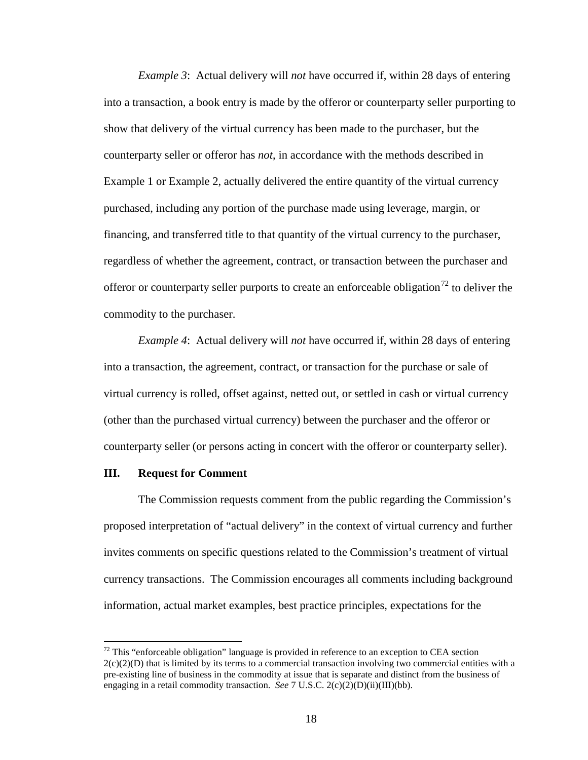*Example 3*: Actual delivery will *not* have occurred if, within 28 days of entering into a transaction, a book entry is made by the offeror or counterparty seller purporting to show that delivery of the virtual currency has been made to the purchaser, but the counterparty seller or offeror has *not*, in accordance with the methods described in Example 1 or Example 2, actually delivered the entire quantity of the virtual currency purchased, including any portion of the purchase made using leverage, margin, or financing, and transferred title to that quantity of the virtual currency to the purchaser, regardless of whether the agreement, contract, or transaction between the purchaser and offeror or counterparty seller purports to create an enforceable obligation<sup>[72](#page-17-0)</sup> to deliver the commodity to the purchaser.

*Example 4*: Actual delivery will *not* have occurred if, within 28 days of entering into a transaction, the agreement, contract, or transaction for the purchase or sale of virtual currency is rolled, offset against, netted out, or settled in cash or virtual currency (other than the purchased virtual currency) between the purchaser and the offeror or counterparty seller (or persons acting in concert with the offeror or counterparty seller).

### **III. Request for Comment**

The Commission requests comment from the public regarding the Commission's proposed interpretation of "actual delivery" in the context of virtual currency and further invites comments on specific questions related to the Commission's treatment of virtual currency transactions. The Commission encourages all comments including background information, actual market examples, best practice principles, expectations for the

<span id="page-17-0"></span> $72$  This "enforceable obligation" language is provided in reference to an exception to CEA section  $2(c)(2)(D)$  that is limited by its terms to a commercial transaction involving two commercial entities with a pre-existing line of business in the commodity at issue that is separate and distinct from the business of engaging in a retail commodity transaction. *See* 7 U.S.C. 2(c)(2)(D)(ii)(III)(bb).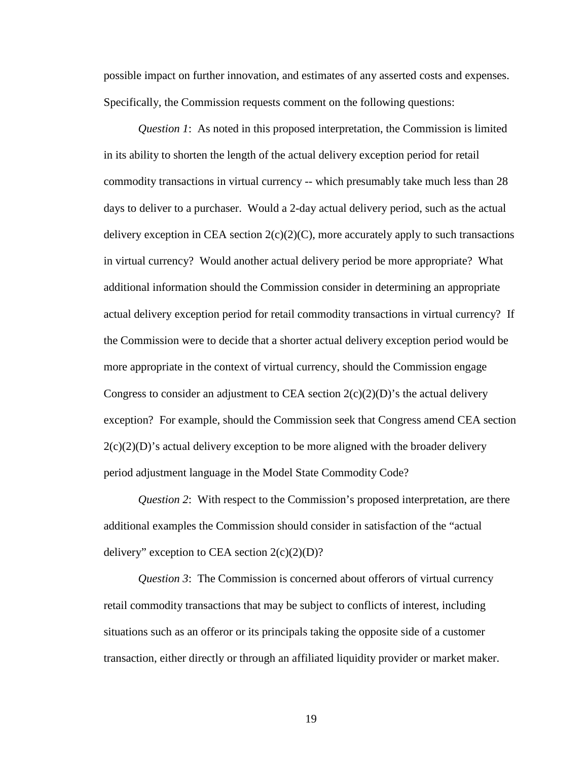possible impact on further innovation, and estimates of any asserted costs and expenses. Specifically, the Commission requests comment on the following questions:

*Question 1*: As noted in this proposed interpretation, the Commission is limited in its ability to shorten the length of the actual delivery exception period for retail commodity transactions in virtual currency -- which presumably take much less than 28 days to deliver to a purchaser. Would a 2-day actual delivery period, such as the actual delivery exception in CEA section  $2(c)(2)(C)$ , more accurately apply to such transactions in virtual currency? Would another actual delivery period be more appropriate? What additional information should the Commission consider in determining an appropriate actual delivery exception period for retail commodity transactions in virtual currency? If the Commission were to decide that a shorter actual delivery exception period would be more appropriate in the context of virtual currency, should the Commission engage Congress to consider an adjustment to CEA section  $2(c)(2)(D)$ 's the actual delivery exception? For example, should the Commission seek that Congress amend CEA section  $2(c)(2)(D)$ 's actual delivery exception to be more aligned with the broader delivery period adjustment language in the Model State Commodity Code?

*Question 2*: With respect to the Commission's proposed interpretation, are there additional examples the Commission should consider in satisfaction of the "actual delivery" exception to CEA section  $2(c)(2)(D)$ ?

*Question 3*: The Commission is concerned about offerors of virtual currency retail commodity transactions that may be subject to conflicts of interest, including situations such as an offeror or its principals taking the opposite side of a customer transaction, either directly or through an affiliated liquidity provider or market maker.

19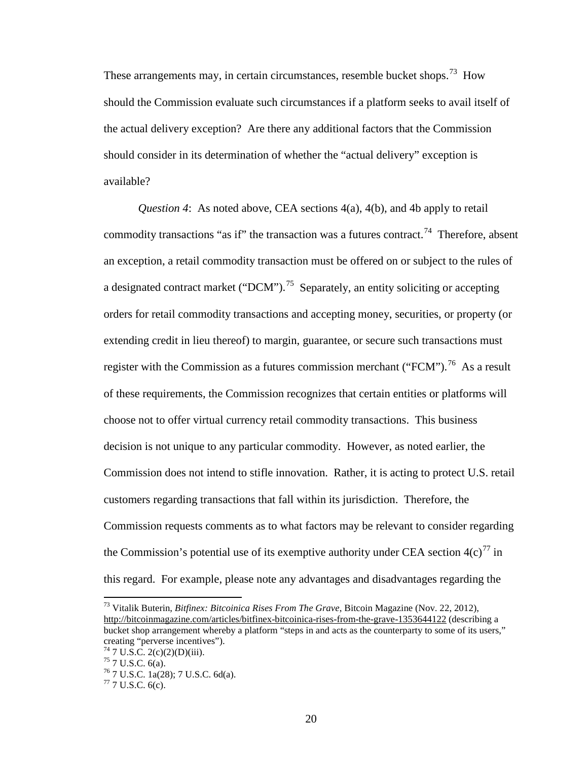These arrangements may, in certain circumstances, resemble bucket shops.<sup>[73](#page-19-0)</sup> How should the Commission evaluate such circumstances if a platform seeks to avail itself of the actual delivery exception? Are there any additional factors that the Commission should consider in its determination of whether the "actual delivery" exception is available?

*Question 4*: As noted above, CEA sections 4(a), 4(b), and 4b apply to retail commodity transactions "as if" the transaction was a futures contract.<sup>74</sup> Therefore, absent an exception, a retail commodity transaction must be offered on or subject to the rules of a designated contract market ("DCM").<sup>[75](#page-19-2)</sup> Separately, an entity soliciting or accepting orders for retail commodity transactions and accepting money, securities, or property (or extending credit in lieu thereof) to margin, guarantee, or secure such transactions must register with the Commission as a futures commission merchant ("FCM").<sup>76</sup> As a result of these requirements, the Commission recognizes that certain entities or platforms will choose not to offer virtual currency retail commodity transactions. This business decision is not unique to any particular commodity. However, as noted earlier, the Commission does not intend to stifle innovation. Rather, it is acting to protect U.S. retail customers regarding transactions that fall within its jurisdiction. Therefore, the Commission requests comments as to what factors may be relevant to consider regarding the Commission's potential use of its exemptive authority under CEA section  $4(c)^{77}$  $4(c)^{77}$  $4(c)^{77}$  in this regard. For example, please note any advantages and disadvantages regarding the

<span id="page-19-0"></span><sup>73</sup> Vitalik Buterin, *Bitfinex: Bitcoinica Rises From The Grave*, Bitcoin Magazine (Nov. 22, 2012), <http://bitcoinmagazine.com/articles/bitfinex-bitcoinica-rises-from-the-grave-1353644122> (describing a bucket shop arrangement whereby a platform "steps in and acts as the counterparty to some of its users," creating "perverse incentives").<br>
<sup>74</sup> 7 U.S.C. 2(c)(2)(D)(iii).<br>
<sup>75</sup> 7 U.S.C. 6(a).<br>
<sup>76</sup> 7 U.S.C. 1a(28); 7 U.S.C. 6d(a).<br>
<sup>77</sup> 7 U.S.C. 6(c).

<span id="page-19-2"></span><span id="page-19-1"></span>

<span id="page-19-3"></span>

<span id="page-19-4"></span>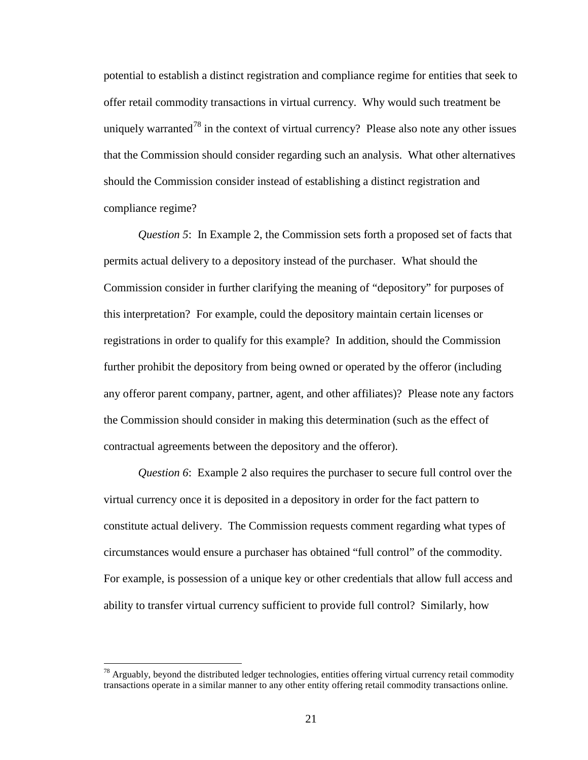potential to establish a distinct registration and compliance regime for entities that seek to offer retail commodity transactions in virtual currency. Why would such treatment be uniquely warranted<sup>[78](#page-20-0)</sup> in the context of virtual currency? Please also note any other issues that the Commission should consider regarding such an analysis. What other alternatives should the Commission consider instead of establishing a distinct registration and compliance regime?

*Question 5*: In Example 2, the Commission sets forth a proposed set of facts that permits actual delivery to a depository instead of the purchaser. What should the Commission consider in further clarifying the meaning of "depository" for purposes of this interpretation? For example, could the depository maintain certain licenses or registrations in order to qualify for this example? In addition, should the Commission further prohibit the depository from being owned or operated by the offeror (including any offeror parent company, partner, agent, and other affiliates)? Please note any factors the Commission should consider in making this determination (such as the effect of contractual agreements between the depository and the offeror).

*Question 6*: Example 2 also requires the purchaser to secure full control over the virtual currency once it is deposited in a depository in order for the fact pattern to constitute actual delivery. The Commission requests comment regarding what types of circumstances would ensure a purchaser has obtained "full control" of the commodity. For example, is possession of a unique key or other credentials that allow full access and ability to transfer virtual currency sufficient to provide full control? Similarly, how

<span id="page-20-0"></span> $78$  Arguably, beyond the distributed ledger technologies, entities offering virtual currency retail commodity transactions operate in a similar manner to any other entity offering retail commodity transactions online.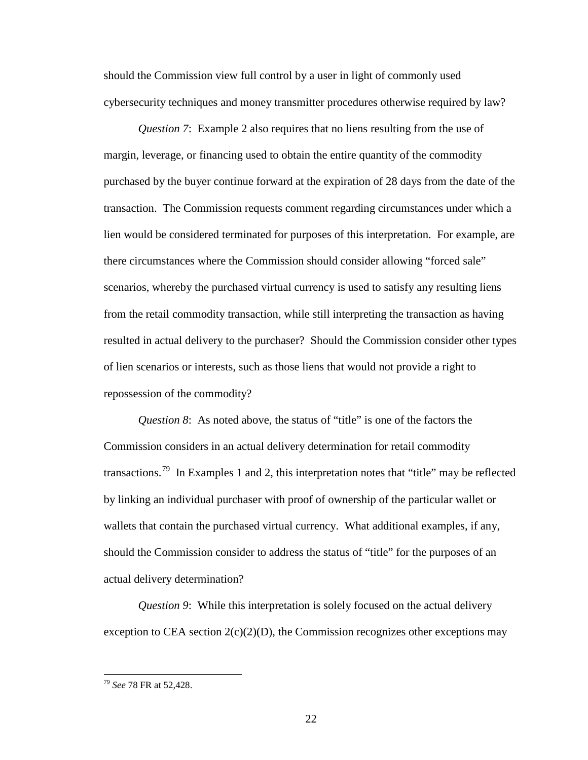should the Commission view full control by a user in light of commonly used cybersecurity techniques and money transmitter procedures otherwise required by law?

*Question 7*: Example 2 also requires that no liens resulting from the use of margin, leverage, or financing used to obtain the entire quantity of the commodity purchased by the buyer continue forward at the expiration of 28 days from the date of the transaction. The Commission requests comment regarding circumstances under which a lien would be considered terminated for purposes of this interpretation. For example, are there circumstances where the Commission should consider allowing "forced sale" scenarios, whereby the purchased virtual currency is used to satisfy any resulting liens from the retail commodity transaction, while still interpreting the transaction as having resulted in actual delivery to the purchaser? Should the Commission consider other types of lien scenarios or interests, such as those liens that would not provide a right to repossession of the commodity?

*Question 8*: As noted above, the status of "title" is one of the factors the Commission considers in an actual delivery determination for retail commodity transactions.<sup>[79](#page-21-0)</sup> In Examples 1 and 2, this interpretation notes that "title" may be reflected by linking an individual purchaser with proof of ownership of the particular wallet or wallets that contain the purchased virtual currency. What additional examples, if any, should the Commission consider to address the status of "title" for the purposes of an actual delivery determination?

*Question 9*: While this interpretation is solely focused on the actual delivery exception to CEA section  $2(c)(2)(D)$ , the Commission recognizes other exceptions may

<span id="page-21-0"></span><sup>79</sup> *See* 78 FR at 52,428.